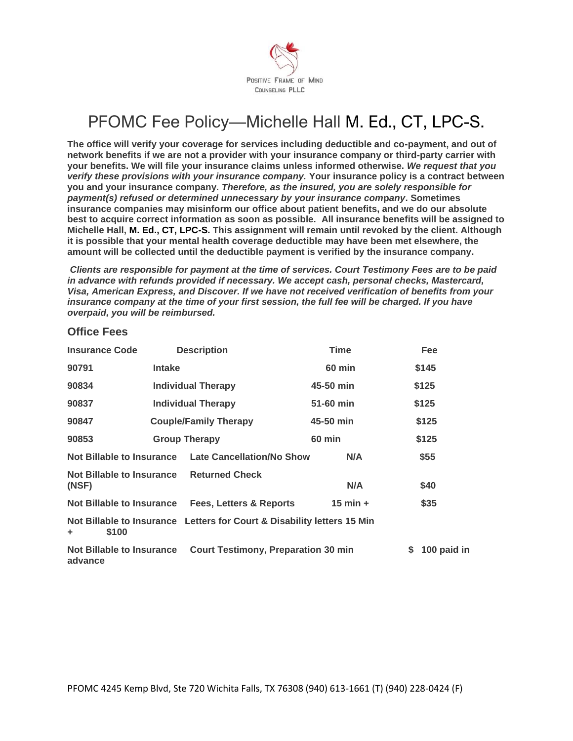

## PFOMC Fee Policy—Michelle Hall M. Ed., CT, LPC-S.

**The office will verify your coverage for services including deductible and co-payment, and out of network benefits if we are not a provider with your insurance company or third-party carrier with your benefits. We will file your insurance claims unless informed otherwise.** *We request that you verify these provisions with your insurance company.* **Your insurance policy is a contract between you and your insurance company.** *Therefore, as the insured, you are solely responsible for payment(s) refused or determined unnecessary by your insurance com***p***any***. Sometimes insurance companies may misinform our office about patient benefits, and we do our absolute best to acquire correct information as soon as possible. All insurance benefits will be assigned to Michelle Hall, M. Ed., CT, LPC-S. This assignment will remain until revoked by the client. Although it is possible that your mental health coverage deductible may have been met elsewhere, the amount will be collected until the deductible payment is verified by the insurance company.**

*Clients are responsible for payment at the time of services. Court Testimony Fees are to be paid in advance with refunds provided if necessary. We accept cash, personal checks, Mastercard, Visa, American Express, and Discover. If we have not received verification of benefits from your insurance company at the time of your first session, the full fee will be charged. If you have overpaid, you will be reimbursed.*

| <b>Insurance Code</b>                                                                 |                              | <b>Description</b>                                | <b>Time</b>   |       | Fee         |
|---------------------------------------------------------------------------------------|------------------------------|---------------------------------------------------|---------------|-------|-------------|
| 90791                                                                                 | <b>Intake</b>                |                                                   | <b>60 min</b> |       | \$145       |
| 90834                                                                                 | <b>Individual Therapy</b>    |                                                   | 45-50 min     |       | \$125       |
| 90837<br>Individual Therapy                                                           |                              | 51-60 min                                         |               | \$125 |             |
| 90847                                                                                 | <b>Couple/Family Therapy</b> |                                                   | 45-50 min     |       | \$125       |
| 90853                                                                                 | <b>Group Therapy</b>         |                                                   | <b>60 min</b> |       | \$125       |
| Not Billable to Insurance                                                             |                              | <b>Late Cancellation/No Show</b>                  | N/A           |       | \$55        |
| Not Billable to Insurance<br>(NSF)                                                    |                              | <b>Returned Check</b>                             | N/A           |       | \$40        |
|                                                                                       |                              | Not Billable to Insurance Fees, Letters & Reports | $15$ min $+$  |       | \$35        |
| Not Billable to Insurance Letters for Court & Disability letters 15 Min<br>\$100<br>÷ |                              |                                                   |               |       |             |
| Not Billable to Insurance<br>advance                                                  |                              | <b>Court Testimony, Preparation 30 min</b>        |               | S.    | 100 paid in |

## **Office Fees**